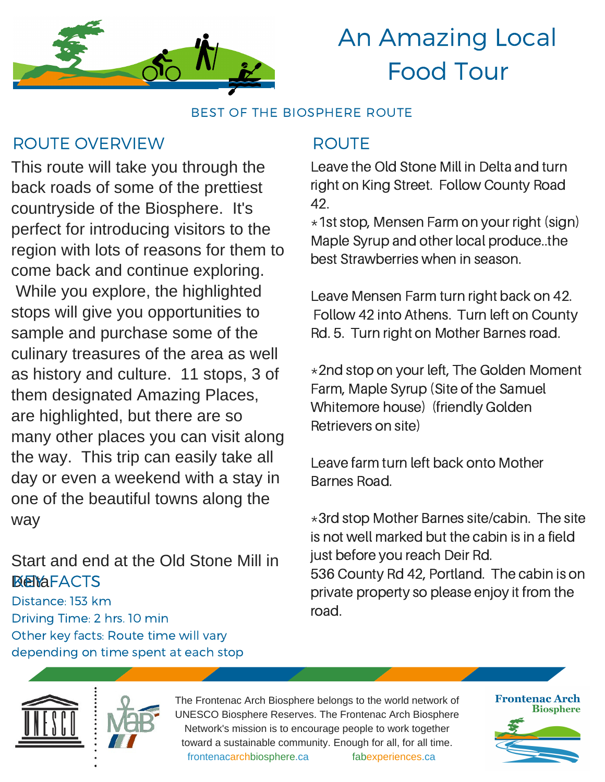

BEST OF THE BIOSPHERE ROUTE

### ROUTE OVERVIEW ROUTE

This route will take you through the back roads of some of the prettiest countryside of the Biosphere. It's perfect for introducing visitors to the region with lots of reasons for them to come back and continue exploring. While you explore, the highlighted stops will give you opportunities to sample and purchase some of the culinary treasures of the area as well as history and culture. 11 stops, 3 of them designated Amazing Places, are highlighted, but there are so many other places you can visit along the way. This trip can easily take all day or even a weekend with a stay in one of the beautiful towns along the way

### Start and end at the Old Stone Mill in **DeltaFACTS**

Distance: 153 km Driving Time: 2 hrs. 10 min Other key facts: Route time will vary depending on time spent at each stop

Leave the Old Stone Mill in Delta and turn right on King Street. Follow County Road 42.

 $*1$ st stop, Mensen Farm on your right (sign) Maple Syrup and other local produce..the best Strawberries when in season.

Leave Mensen Farm turn right back on 42. Follow 42 into Athens. Turn left on County Rd. 5. Turn right on Mother Barnes road.

\*2nd stop on your left, The Golden Moment Farm, Maple Syrup (Site of the Samuel Whitemore house) (friendly Golden Retrievers on site)

Leave farm turn left back onto Mother Barnes Road.

\*3rd stop Mother Barnes site/cabin. The site is not well marked but the cabin is in a field just before you reach Deir Rd. 536 County Rd 42, Portland. The cabin is on private property so please enjoy it from the road.



The Frontenac Arch Biosphere belongs to the world network of UNESCO Biosphere Reserves. The Frontenac Arch Biosphere Network's mission is to encourage people to work together toward a sustainable community. Enough for all, for all time. frontenacarchbiosphere.ca fabexperiences.ca

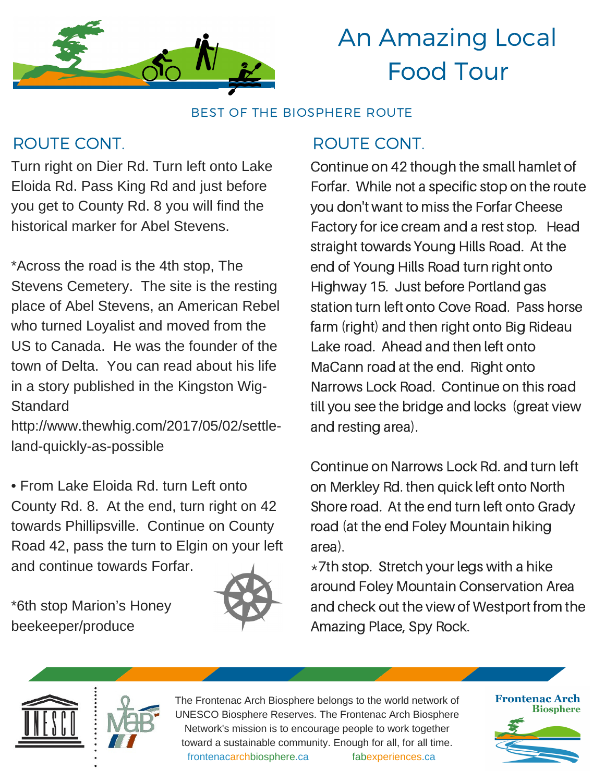

BEST OF THE BIOSPHERE ROUTE

## ROUTE CONT. A ROUTE CONT.

Turn right on Dier Rd. Turn left onto Lake Eloida Rd. Pass King Rd and just before you get to County Rd. 8 you will find the historical marker for Abel Stevens.

\*Across the road is the 4th stop, The Stevens Cemetery. The site is the resting place of Abel Stevens, an American Rebel who turned Loyalist and moved from the US to Canada. He was the founder of the town of Delta. You can read about his life in a story published in the Kingston Wig-**Standard** 

http://www.thewhig.com/2017/05/02/settleland-quickly-as-possible

• From Lake Eloida Rd. turn Left onto County Rd. 8. At the end, turn right on 42 towards Phillipsville. Continue on County Road 42, pass the turn to Elgin on your left and continue towards Forfar.

\*6th stop Marion's Honey beekeeper/produce



Continue on 42 though the small hamlet of Forfar. While not a specific stop on the route you don't want to miss the Forfar Cheese Factory for ice cream and a rest stop. Head straight towards Young Hills Road. At the end of Young Hills Road turn right onto Highway 15. Just before Portland gas station turn left onto Cove Road. Pass horse farm (right) and then right onto Big Rideau Lake road. Ahead and then left onto MaCann road at the end. Right onto Narrows Lock Road. Continue on this road till you see the bridge and locks (great view and resting area).

Continue on Narrows Lock Rd. and turn left on Merkley Rd. then quick left onto North Shore road. At the end turn left onto Grady road (at the end Foley Mountain hiking area).

 $*7$ th stop. Stretch your legs with a hike around Foley Mountain Conservation Area and check out the view of Westport from the Amazing Place, Spy Rock.





The Frontenac Arch Biosphere belongs to the world network of UNESCO Biosphere Reserves. The Frontenac Arch Biosphere Network's mission is to encourage people to work together toward a sustainable community. Enough for all, for all time. frontenacarchbiosphere.ca fabexperiences.ca

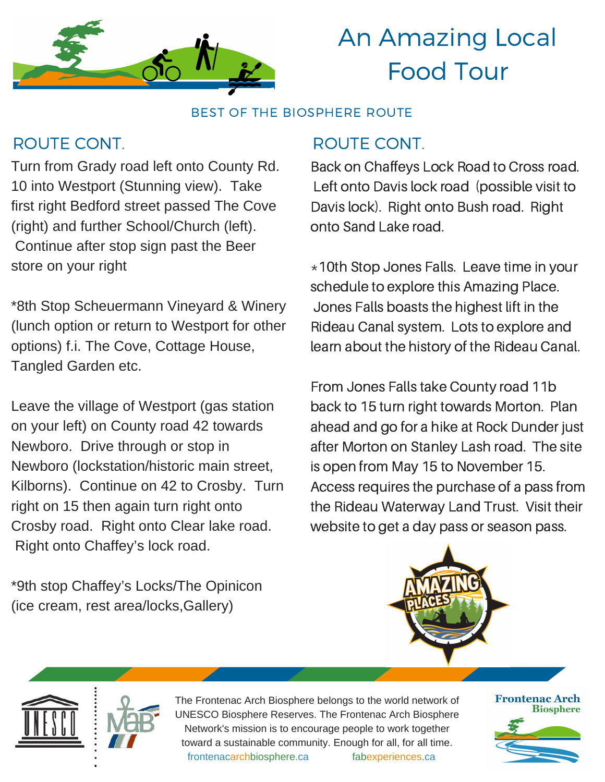

BEST OF THE BIOSPHERE ROUTE

## ROUTE CONT. A ROUTE CONT.

Turn from Grady road left onto County Rd. 10 into Westport (Stunning view). Take first right Bedford street passed The Cove (right) and further School/Church (left). Continue after stop sign past the Beer store on your right

\*8th Stop Scheuermann Vineyard & Winery (lunch option or return to Westport for other options) f.i. The Cove, Cottage House, Tangled Garden etc.

Leave the village of Westport (gas station on your left) on County road 42 towards Newboro. Drive through or stop in Newboro (lockstation/historic main street, Kilborns). Continue on 42 to Crosby. Turn right on 15 then again turn right onto Crosby road. Right onto Clear lake road. Right onto Chaffey's lock road.

\*9th stop Chaffey's Locks/The Opinicon (ice cream, rest area/locks,Gallery)

Back on Chaffeys Lock Road to Cross road. Left onto Davis lock road (possible visit to Davis lock). Right onto Bush road. Right onto Sand Lake road.

\*10th Stop Jones Falls. Leave time in your schedule to explore this Amazing Place. Jones Falls boasts the highest lift in the Rideau Canal system. Lots to explore and learn about the history of the Rideau Canal.

From Jones Falls take County road 11b back to 15 turn right towards Morton. Plan ahead and go for a hike at Rock Dunder just after Morton on Stanley Lash road. The site is open from May 15 to November 15. Access requires the purchase of a pass from the Rideau Waterway Land Trust. Visit their website to get a day pass or season pass.



The Frontenac Arch Biosphere belongs to the world network of UNESCO Biosphere Reserves. The Frontenac Arch Biosphere Network's mission is to encourage people to work together toward a sustainable community. Enough for all, for all time. frontenacarchbiosphere.ca fabexperiences.ca